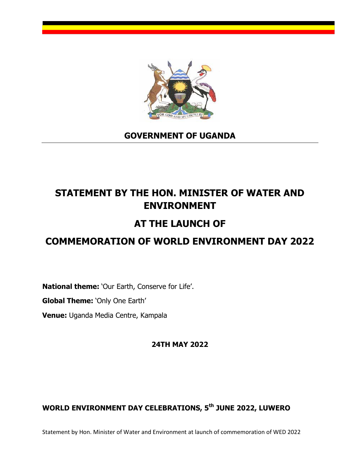

### **GOVERNMENT OF UGANDA**

# **STATEMENT BY THE HON. MINISTER OF WATER AND ENVIRONMENT**

## **AT THE LAUNCH OF**

## **COMMEMORATION OF WORLD ENVIRONMENT DAY 2022**

**National theme:** 'Our Earth, Conserve for Life'.

**Global Theme:** 'Only One Earth'

**Venue:** Uganda Media Centre, Kampala

**24TH MAY 2022** 

### **WORLD ENVIRONMENT DAY CELEBRATIONS, 5th JUNE 2022, LUWERO**

Statement by Hon. Minister of Water and Environment at launch of commemoration of WED 2022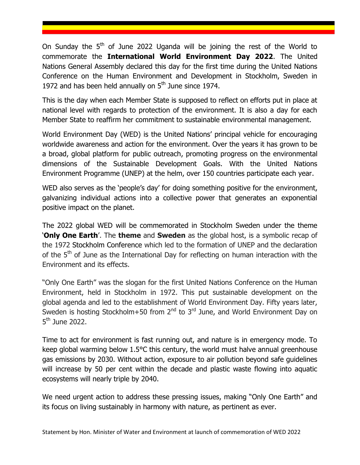On Sunday the  $5<sup>th</sup>$  of June 2022 Uganda will be joining the rest of the World to commemorate the **International World Environment Day 2022**. The United Nations General Assembly declared this day for the first time during the United Nations Conference on the Human Environment and Development in Stockholm, Sweden in 1972 and has been held annually on  $5<sup>th</sup>$  June since 1974.

This is the day when each Member State is supposed to reflect on efforts put in place at national level with regards to protection of the environment. It is also a day for each Member State to reaffirm her commitment to sustainable environmental management.

World Environment Day (WED) is the United Nations' principal vehicle for encouraging worldwide awareness and action for the environment. Over the years it has grown to be a broad, global platform for public outreach, promoting progress on the environmental dimensions of the Sustainable Development Goals. With the United Nations Environment Programme (UNEP) at the helm, over 150 countries participate each year.

WED also serves as the 'people's day' for doing something positive for the environment, galvanizing individual actions into a collective power that generates an exponential positive impact on the planet.

The 2022 global WED will be commemorated in Stockholm Sweden under the theme '**Only One Earth**'. The **theme** and **Sweden** as the global host, is a symbolic recap of the 1972 Stockholm Conference which led to the formation of UNEP and the declaration of the  $5<sup>th</sup>$  of June as the International Day for reflecting on human interaction with the Environment and its effects.

"Only One Earth" was the slogan for the first United Nations Conference on the Human Environment, held in Stockholm in 1972. This put sustainable development on the global agenda and led to the establishment of World Environment Day. Fifty years later, Sweden is hosting Stockholm+50 from  $2^{nd}$  to  $3^{rd}$  June, and World Environment Day on 5<sup>th</sup> June 2022.

Time to act for environment is fast running out, and nature is in emergency mode. To keep global warming below 1.5°C this century, the world must halve annual greenhouse gas emissions by 2030. Without action, exposure to air pollution beyond safe guidelines will increase by 50 per cent within the decade and plastic waste flowing into aquatic ecosystems will nearly triple by 2040.

We need urgent action to address these pressing issues, making "Only One Earth" and its focus on living sustainably in harmony with nature, as pertinent as ever.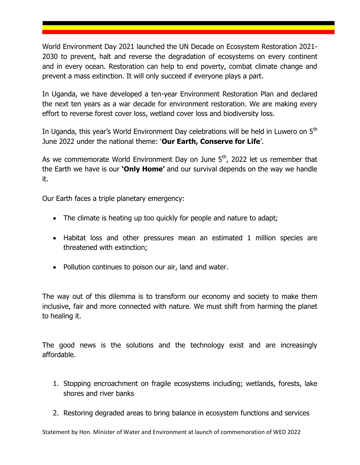World Environment Day 2021 launched the UN Decade on Ecosystem Restoration 2021- 2030 to prevent, halt and reverse the degradation of ecosystems on every continent and in every ocean. Restoration can help to end poverty, combat climate change and prevent a mass extinction. It will only succeed if everyone plays a part.

In Uganda, we have developed a ten-year Environment Restoration Plan and declared the next ten years as a war decade for environment restoration. We are making every effort to reverse forest cover loss, wetland cover loss and biodiversity loss.

In Uganda, this year's World Environment Day celebrations will be held in Luwero on 5<sup>th</sup> June 2022 under the national theme: '**Our Earth, Conserve for Life**'.

As we commemorate World Environment Day on June  $5<sup>th</sup>$ , 2022 let us remember that the Earth we have is our **'Only Home'** and our survival depends on the way we handle it.

Our Earth faces a triple planetary emergency:

- The climate is heating up too quickly for people and nature to adapt;
- Habitat loss and other pressures mean an estimated 1 million species are threatened with extinction;
- Pollution continues to poison our air, land and water.

The way out of this dilemma is to transform our economy and society to make them inclusive, fair and more connected with nature. We must shift from harming the planet to healing it.

The good news is the solutions and the technology exist and are increasingly affordable.

- 1. Stopping encroachment on fragile ecosystems including; wetlands, forests, lake shores and river banks
- 2. Restoring degraded areas to bring balance in ecosystem functions and services

Statement by Hon. Minister of Water and Environment at launch of commemoration of WED 2022